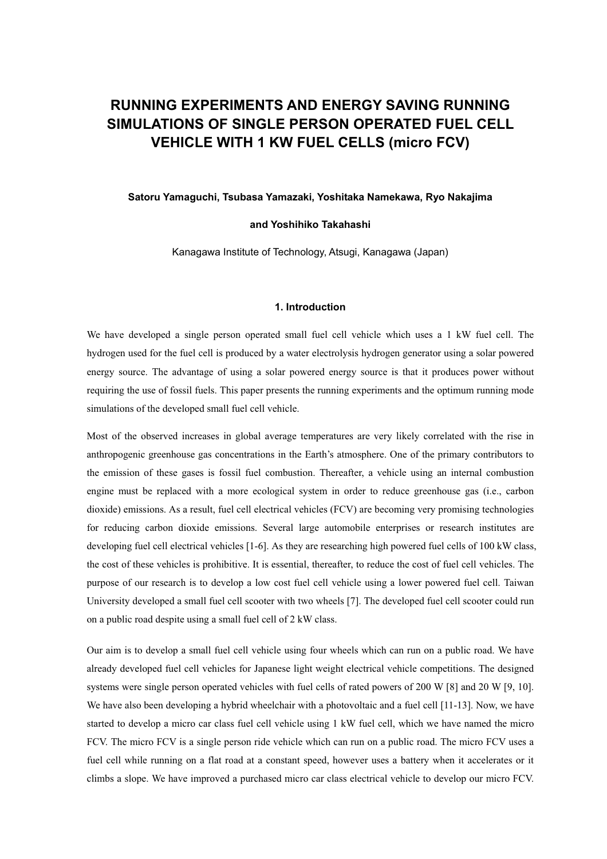# **RUNNING EXPERIMENTS AND ENERGY SAVING RUNNING SIMULATIONS OF SINGLE PERSON OPERATED FUEL CELL VEHICLE WITH 1 KW FUEL CELLS (micro FCV)**

#### **Satoru Yamaguchi, Tsubasa Yamazaki, Yoshitaka Namekawa, Ryo Nakajima**

### **and Yoshihiko Takahashi**

Kanagawa Institute of Technology, Atsugi, Kanagawa (Japan)

# **1. Introduction**

We have developed a single person operated small fuel cell vehicle which uses a 1 kW fuel cell. The hydrogen used for the fuel cell is produced by a water electrolysis hydrogen generator using a solar powered energy source. The advantage of using a solar powered energy source is that it produces power without requiring the use of fossil fuels. This paper presents the running experiments and the optimum running mode simulations of the developed small fuel cell vehicle.

Most of the observed increases in global average temperatures are very likely correlated with the rise in anthropogenic greenhouse gas concentrations in the Earth's atmosphere. One of the primary contributors to the emission of these gases is fossil fuel combustion. Thereafter, a vehicle using an internal combustion engine must be replaced with a more ecological system in order to reduce greenhouse gas (i.e., carbon dioxide) emissions. As a result, fuel cell electrical vehicles (FCV) are becoming very promising technologies for reducing carbon dioxide emissions. Several large automobile enterprises or research institutes are developing fuel cell electrical vehicles [1-6]. As they are researching high powered fuel cells of 100 kW class, the cost of these vehicles is prohibitive. It is essential, thereafter, to reduce the cost of fuel cell vehicles. The purpose of our research is to develop a low cost fuel cell vehicle using a lower powered fuel cell. Taiwan University developed a small fuel cell scooter with two wheels [7]. The developed fuel cell scooter could run on a public road despite using a small fuel cell of 2 kW class.

Our aim is to develop a small fuel cell vehicle using four wheels which can run on a public road. We have already developed fuel cell vehicles for Japanese light weight electrical vehicle competitions. The designed systems were single person operated vehicles with fuel cells of rated powers of 200 W [8] and 20 W [9, 10]. We have also been developing a hybrid wheelchair with a photovoltaic and a fuel cell [11-13]. Now, we have started to develop a micro car class fuel cell vehicle using 1 kW fuel cell, which we have named the micro FCV. The micro FCV is a single person ride vehicle which can run on a public road. The micro FCV uses a fuel cell while running on a flat road at a constant speed, however uses a battery when it accelerates or it climbs a slope. We have improved a purchased micro car class electrical vehicle to develop our micro FCV.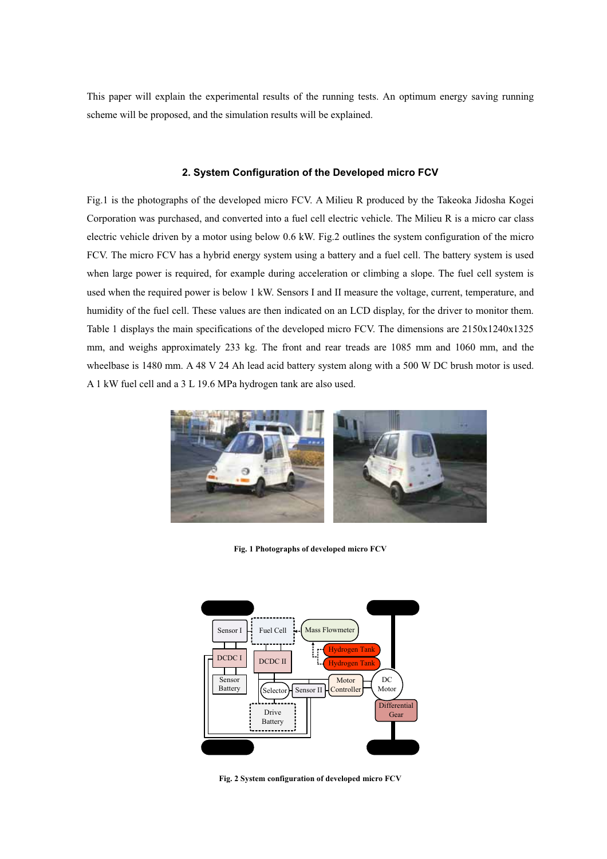This paper will explain the experimental results of the running tests. An optimum energy saving running scheme will be proposed, and the simulation results will be explained.

# **2. System Configuration of the Developed micro FCV**

Fig.1 is the photographs of the developed micro FCV. A Milieu R produced by the Takeoka Jidosha Kogei Corporation was purchased, and converted into a fuel cell electric vehicle. The Milieu R is a micro car class electric vehicle driven by a motor using below 0.6 kW. Fig.2 outlines the system configuration of the micro FCV. The micro FCV has a hybrid energy system using a battery and a fuel cell. The battery system is used when large power is required, for example during acceleration or climbing a slope. The fuel cell system is used when the required power is below 1 kW. Sensors I and II measure the voltage, current, temperature, and humidity of the fuel cell. These values are then indicated on an LCD display, for the driver to monitor them. Table 1 displays the main specifications of the developed micro FCV. The dimensions are 2150x1240x1325 mm, and weighs approximately 233 kg. The front and rear treads are 1085 mm and 1060 mm, and the wheelbase is 1480 mm. A 48 V 24 Ah lead acid battery system along with a 500 W DC brush motor is used. A 1 kW fuel cell and a 3 L 19.6 MPa hydrogen tank are also used.



**Fig. 1 Photographs of developed micro FCV** 



**Fig. 2 System configuration of developed micro FCV**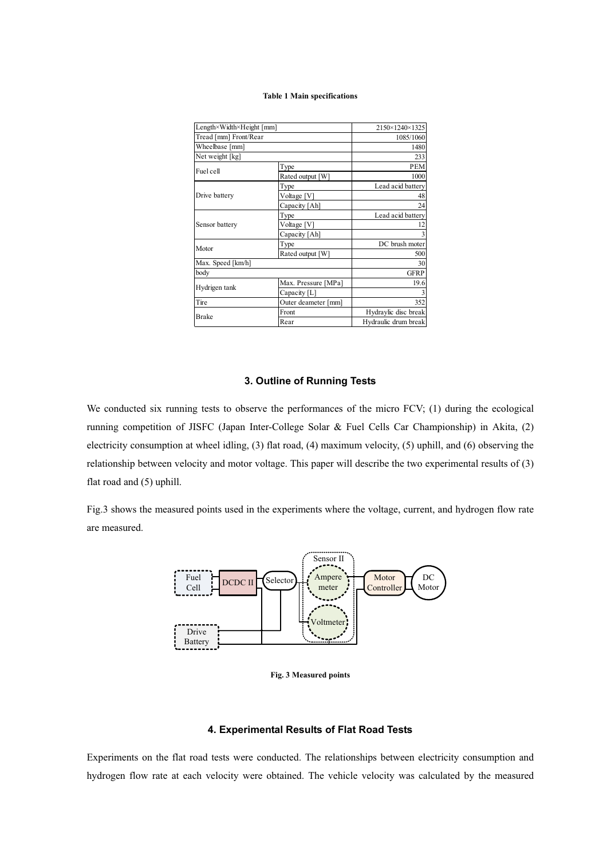#### **Table 1 Main specifications**

| Length×Width×Height [mm] | 2150×1240×1325      |                      |  |  |
|--------------------------|---------------------|----------------------|--|--|
| Tread [mm] Front/Rear    | 1085/1060           |                      |  |  |
| Wheelbase [mm]           | 1480                |                      |  |  |
| Net weight [kg]          | 233                 |                      |  |  |
| Fuel cell                | Type                | PEM                  |  |  |
|                          | Rated output [W]    | 1000                 |  |  |
| Drive battery            | Type                | Lead acid battery    |  |  |
|                          | Voltage [V]         | 48                   |  |  |
|                          | Capacity [Ah]       | 24                   |  |  |
| Sensor battery           | Type                | Lead acid battery    |  |  |
|                          | Voltage [V]         | 12                   |  |  |
|                          | Capacity [Ah]       | 3                    |  |  |
| Motor                    | Type                | DC brush moter       |  |  |
|                          | Rated output [W]    | 500                  |  |  |
| Max. Speed [km/h]        | 30                  |                      |  |  |
| body                     | <b>GFRP</b>         |                      |  |  |
| Hydrigen tank            | Max. Pressure [MPa] | 19.6                 |  |  |
|                          | Capacity [L]        |                      |  |  |
| Tire                     | Outer deameter [mm] | 352                  |  |  |
| <b>Brake</b>             | Front               | Hydraylic disc break |  |  |
|                          | Rear                | Hydraulic drum break |  |  |

#### **3. Outline of Running Tests**

We conducted six running tests to observe the performances of the micro FCV; (1) during the ecological running competition of JISFC (Japan Inter-College Solar & Fuel Cells Car Championship) in Akita, (2) electricity consumption at wheel idling, (3) flat road, (4) maximum velocity, (5) uphill, and (6) observing the relationship between velocity and motor voltage. This paper will describe the two experimental results of (3) flat road and (5) uphill.

Fig.3 shows the measured points used in the experiments where the voltage, current, and hydrogen flow rate are measured.



**Fig. 3 Measured points** 

# **4. Experimental Results of Flat Road Tests**

Experiments on the flat road tests were conducted. The relationships between electricity consumption and hydrogen flow rate at each velocity were obtained. The vehicle velocity was calculated by the measured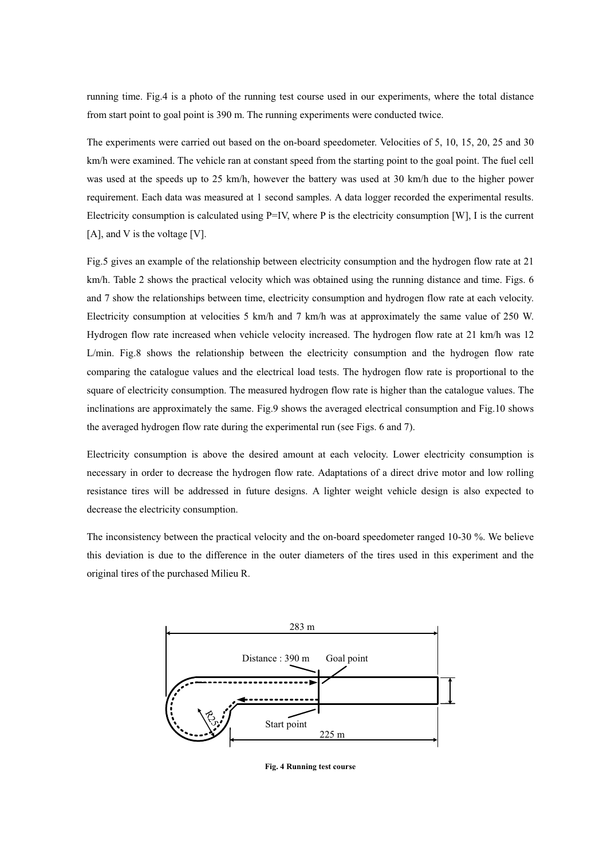running time. Fig.4 is a photo of the running test course used in our experiments, where the total distance from start point to goal point is 390 m. The running experiments were conducted twice.

The experiments were carried out based on the on-board speedometer. Velocities of 5, 10, 15, 20, 25 and 30 km/h were examined. The vehicle ran at constant speed from the starting point to the goal point. The fuel cell was used at the speeds up to 25 km/h, however the battery was used at 30 km/h due to the higher power requirement. Each data was measured at 1 second samples. A data logger recorded the experimental results. Electricity consumption is calculated using  $P=IV$ , where P is the electricity consumption [W], I is the current [A], and V is the voltage [V].

Fig.5 gives an example of the relationship between electricity consumption and the hydrogen flow rate at 21 km/h. Table 2 shows the practical velocity which was obtained using the running distance and time. Figs. 6 and 7 show the relationships between time, electricity consumption and hydrogen flow rate at each velocity. Electricity consumption at velocities 5 km/h and 7 km/h was at approximately the same value of 250 W. Hydrogen flow rate increased when vehicle velocity increased. The hydrogen flow rate at 21 km/h was 12 L/min. Fig.8 shows the relationship between the electricity consumption and the hydrogen flow rate comparing the catalogue values and the electrical load tests. The hydrogen flow rate is proportional to the square of electricity consumption. The measured hydrogen flow rate is higher than the catalogue values. The inclinations are approximately the same. Fig.9 shows the averaged electrical consumption and Fig.10 shows the averaged hydrogen flow rate during the experimental run (see Figs. 6 and 7).

Electricity consumption is above the desired amount at each velocity. Lower electricity consumption is necessary in order to decrease the hydrogen flow rate. Adaptations of a direct drive motor and low rolling resistance tires will be addressed in future designs. A lighter weight vehicle design is also expected to decrease the electricity consumption.

The inconsistency between the practical velocity and the on-board speedometer ranged 10-30 %. We believe this deviation is due to the difference in the outer diameters of the tires used in this experiment and the original tires of the purchased Milieu R.



**Fig. 4 Running test course**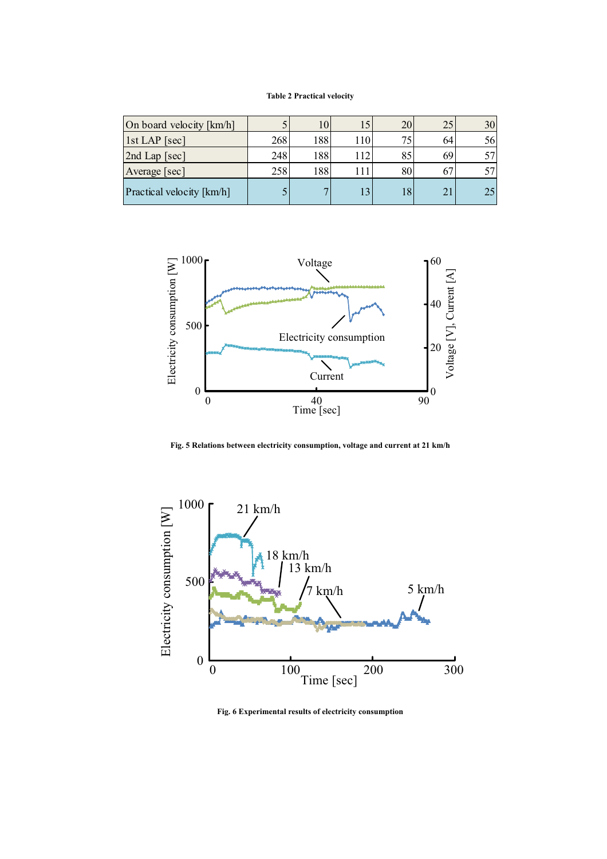**Table 2 Practical velocity** 

| On board velocity [km/h]  |     | 10                       |                 | 20 | 25 | 30 |
|---------------------------|-----|--------------------------|-----------------|----|----|----|
| $1st$ LAP $[sec]$         | 268 | 188                      | 10 <sup>1</sup> | 75 | 64 |    |
| 2nd Lap [sec]             | 248 | 188                      | 112             | 85 | 69 |    |
| Average [sec]             | 258 | 188                      |                 | 80 | O  |    |
| Practical velocity [km/h] |     | $\overline{\phantom{0}}$ | 13              | 18 | 21 | 25 |



**Fig. 5 Relations between electricity consumption, voltage and current at 21 km/h** 



**Fig. 6 Experimental results of electricity consumption**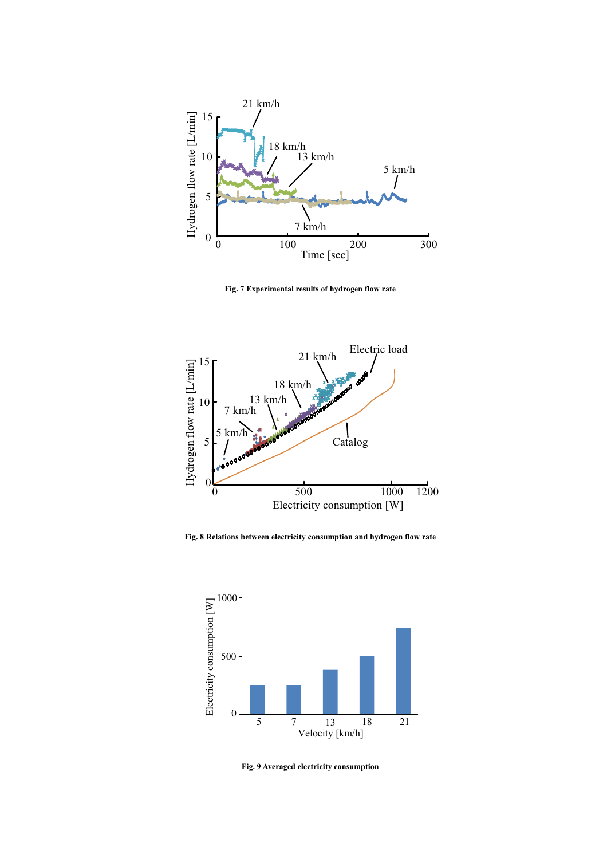

**Fig. 7 Experimental results of hydrogen flow rate** 



**Fig. 8 Relations between electricity consumption and hydrogen flow rate** 



**Fig. 9 Averaged electricity consumption**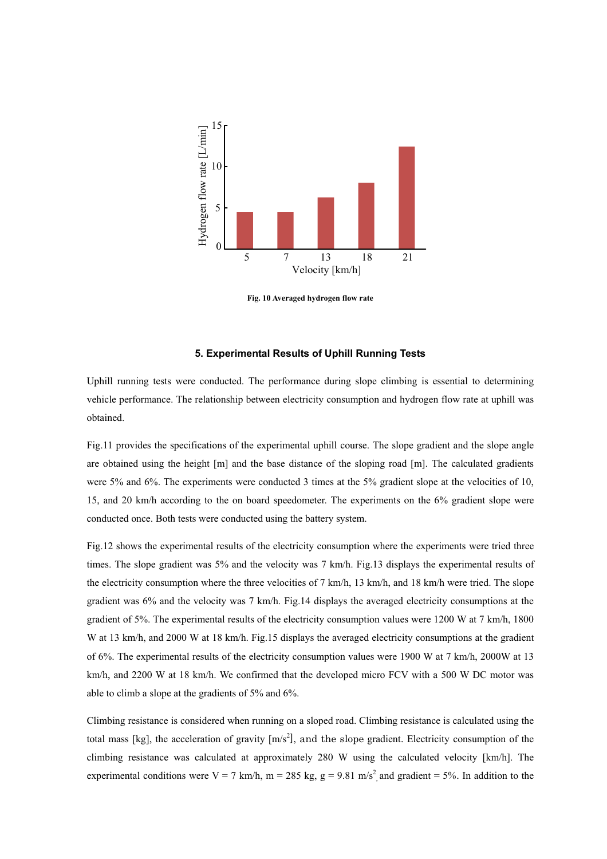

**Fig. 10 Averaged hydrogen flow rate** 

#### **5. Experimental Results of Uphill Running Tests**

Uphill running tests were conducted. The performance during slope climbing is essential to determining vehicle performance. The relationship between electricity consumption and hydrogen flow rate at uphill was obtained.

Fig.11 provides the specifications of the experimental uphill course. The slope gradient and the slope angle are obtained using the height [m] and the base distance of the sloping road [m]. The calculated gradients were 5% and 6%. The experiments were conducted 3 times at the 5% gradient slope at the velocities of 10, 15, and 20 km/h according to the on board speedometer. The experiments on the 6% gradient slope were conducted once. Both tests were conducted using the battery system.

Fig.12 shows the experimental results of the electricity consumption where the experiments were tried three times. The slope gradient was 5% and the velocity was 7 km/h. Fig.13 displays the experimental results of the electricity consumption where the three velocities of 7 km/h, 13 km/h, and 18 km/h were tried. The slope gradient was 6% and the velocity was 7 km/h. Fig.14 displays the averaged electricity consumptions at the gradient of 5%. The experimental results of the electricity consumption values were 1200 W at 7 km/h, 1800 W at 13 km/h, and 2000 W at 18 km/h. Fig.15 displays the averaged electricity consumptions at the gradient of 6%. The experimental results of the electricity consumption values were 1900 W at 7 km/h, 2000W at 13 km/h, and 2200 W at 18 km/h. We confirmed that the developed micro FCV with a 500 W DC motor was able to climb a slope at the gradients of 5% and 6%.

Climbing resistance is considered when running on a sloped road. Climbing resistance is calculated using the total mass [kg], the acceleration of gravity  $[m/s^2]$ , and the slope gradient. Electricity consumption of the climbing resistance was calculated at approximately 280 W using the calculated velocity [km/h]. The experimental conditions were  $V = 7$  km/h, m = 285 kg, g = 9.81 m/s<sup>2</sup>, and gradient = 5%. In addition to the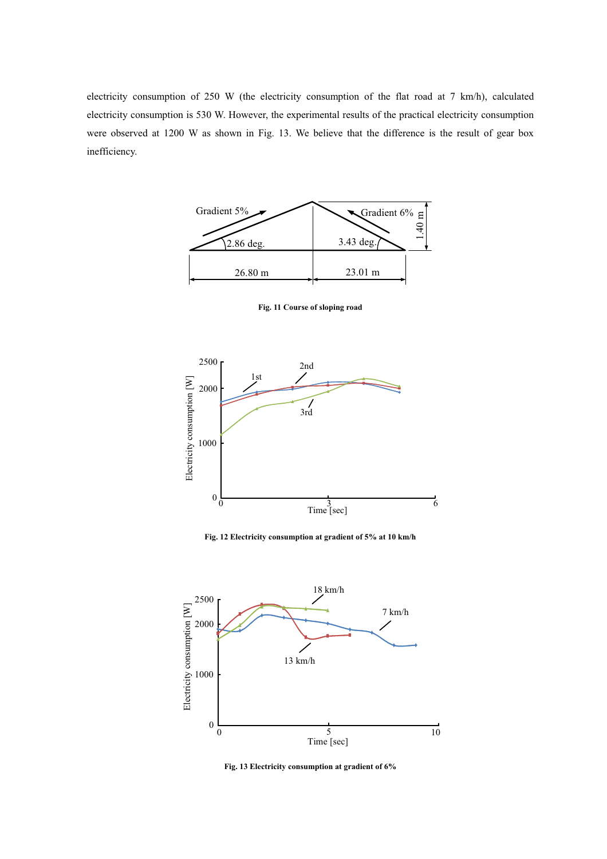electricity consumption of 250 W (the electricity consumption of the flat road at 7 km/h), calculated electricity consumption is 530 W. However, the experimental results of the practical electricity consumption were observed at 1200 W as shown in Fig. 13. We believe that the difference is the result of gear box inefficiency.



**Fig. 11 Course of sloping road** 



**Fig. 12 Electricity consumption at gradient of 5% at 10 km/h** 



**Fig. 13 Electricity consumption at gradient of 6%**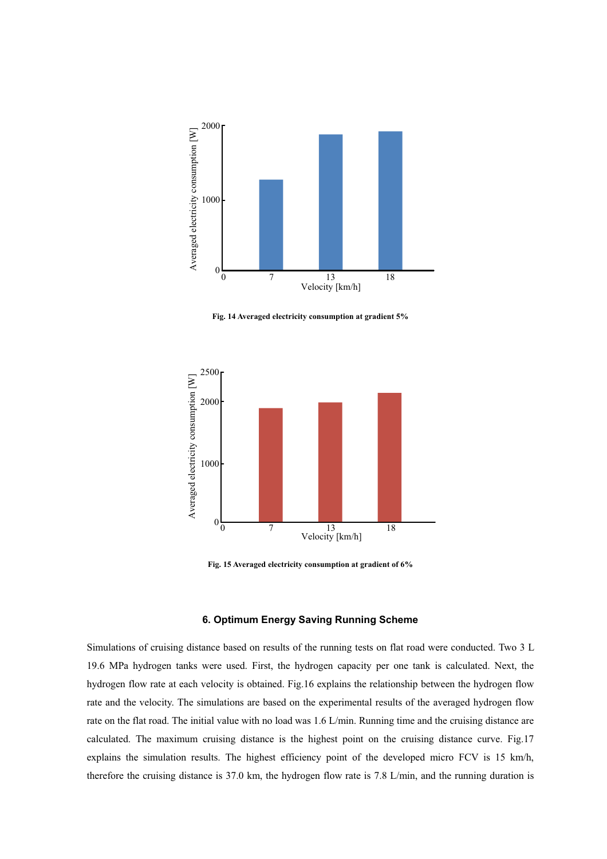

**Fig. 14 Averaged electricity consumption at gradient 5%** 



**Fig. 15 Averaged electricity consumption at gradient of 6%** 

# **6. Optimum Energy Saving Running Scheme**

Simulations of cruising distance based on results of the running tests on flat road were conducted. Two 3 L 19.6 MPa hydrogen tanks were used. First, the hydrogen capacity per one tank is calculated. Next, the hydrogen flow rate at each velocity is obtained. Fig.16 explains the relationship between the hydrogen flow rate and the velocity. The simulations are based on the experimental results of the averaged hydrogen flow rate on the flat road. The initial value with no load was 1.6 L/min. Running time and the cruising distance are calculated. The maximum cruising distance is the highest point on the cruising distance curve. Fig.17 explains the simulation results. The highest efficiency point of the developed micro FCV is 15 km/h, therefore the cruising distance is 37.0 km, the hydrogen flow rate is 7.8 L/min, and the running duration is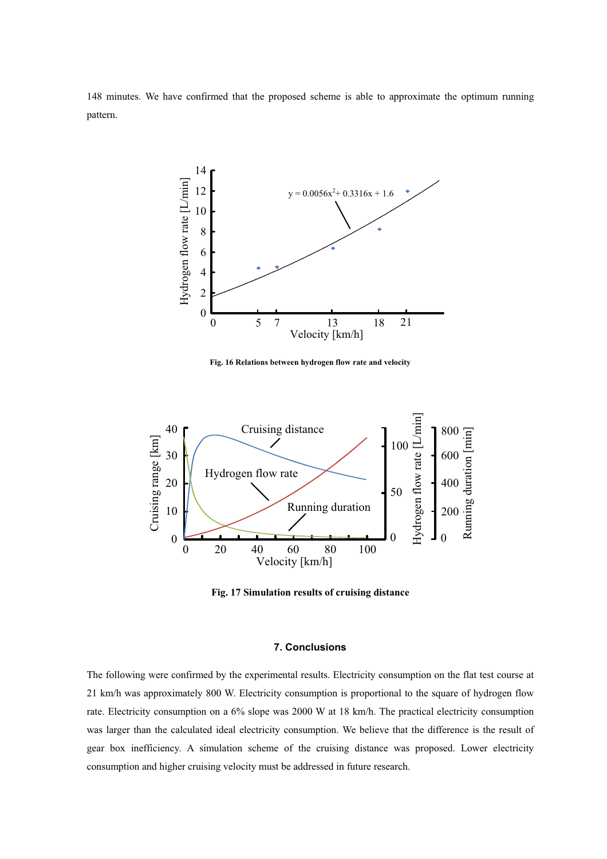148 minutes. We have confirmed that the proposed scheme is able to approximate the optimum running pattern.



**Fig. 16 Relations between hydrogen flow rate and velocity** 



**Fig. 17 Simulation results of cruising distance** 

### **7. Conclusions**

The following were confirmed by the experimental results. Electricity consumption on the flat test course at 21 km/h was approximately 800 W. Electricity consumption is proportional to the square of hydrogen flow rate. Electricity consumption on a 6% slope was 2000 W at 18 km/h. The practical electricity consumption was larger than the calculated ideal electricity consumption. We believe that the difference is the result of gear box inefficiency. A simulation scheme of the cruising distance was proposed. Lower electricity consumption and higher cruising velocity must be addressed in future research.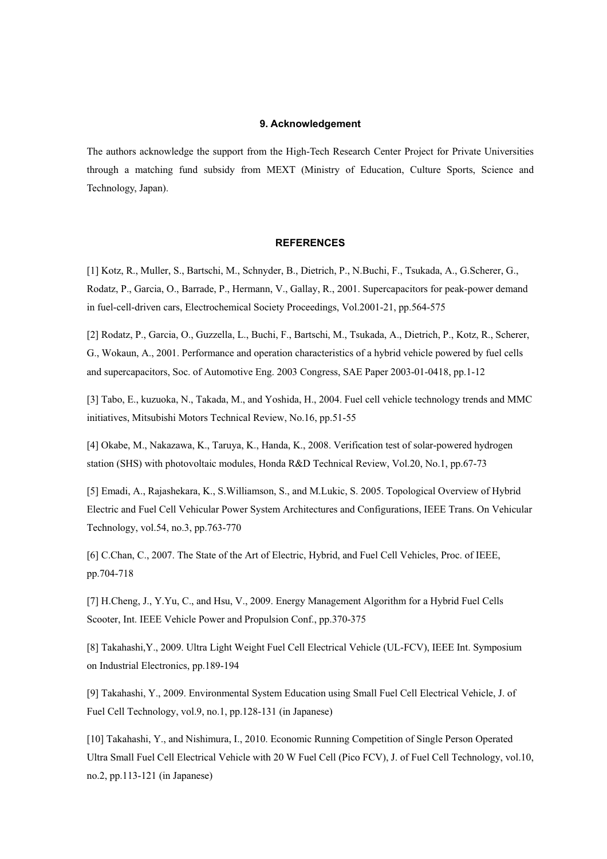### **9. Acknowledgement**

The authors acknowledge the support from the High-Tech Research Center Project for Private Universities through a matching fund subsidy from MEXT (Ministry of Education, Culture Sports, Science and Technology, Japan).

#### **REFERENCES**

[1] Kotz, R., Muller, S., Bartschi, M., Schnyder, B., Dietrich, P., N.Buchi, F., Tsukada, A., G.Scherer, G., Rodatz, P., Garcia, O., Barrade, P., Hermann, V., Gallay, R., 2001. Supercapacitors for peak-power demand in fuel-cell-driven cars, Electrochemical Society Proceedings, Vol.2001-21, pp.564-575

[2] Rodatz, P., Garcia, O., Guzzella, L., Buchi, F., Bartschi, M., Tsukada, A., Dietrich, P., Kotz, R., Scherer, G., Wokaun, A., 2001. Performance and operation characteristics of a hybrid vehicle powered by fuel cells and supercapacitors, Soc. of Automotive Eng. 2003 Congress, SAE Paper 2003-01-0418, pp.1-12

[3] Tabo, E., kuzuoka, N., Takada, M., and Yoshida, H., 2004. Fuel cell vehicle technology trends and MMC initiatives, Mitsubishi Motors Technical Review, No.16, pp.51-55

[4] Okabe, M., Nakazawa, K., Taruya, K., Handa, K., 2008. Verification test of solar-powered hydrogen station (SHS) with photovoltaic modules, Honda R&D Technical Review, Vol.20, No.1, pp.67-73

[5] Emadi, A., Rajashekara, K., S.Williamson, S., and M.Lukic, S. 2005. Topological Overview of Hybrid Electric and Fuel Cell Vehicular Power System Architectures and Configurations, IEEE Trans. On Vehicular Technology, vol.54, no.3, pp.763-770

[6] C.Chan, C., 2007. The State of the Art of Electric, Hybrid, and Fuel Cell Vehicles, Proc. of IEEE, pp.704-718

[7] H.Cheng, J., Y.Yu, C., and Hsu, V., 2009. Energy Management Algorithm for a Hybrid Fuel Cells Scooter, Int. IEEE Vehicle Power and Propulsion Conf., pp.370-375

[8] Takahashi,Y., 2009. Ultra Light Weight Fuel Cell Electrical Vehicle (UL-FCV), IEEE Int. Symposium on Industrial Electronics, pp.189-194

[9] Takahashi, Y., 2009. Environmental System Education using Small Fuel Cell Electrical Vehicle, J. of Fuel Cell Technology, vol.9, no.1, pp.128-131 (in Japanese)

[10] Takahashi, Y., and Nishimura, I., 2010. Economic Running Competition of Single Person Operated Ultra Small Fuel Cell Electrical Vehicle with 20 W Fuel Cell (Pico FCV), J. of Fuel Cell Technology, vol.10, no.2, pp.113-121 (in Japanese)